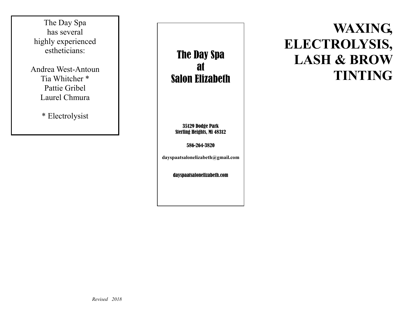The Day Spa has several highly experienced estheticians:

Andrea West-Antoun Tia Whitcher \* Pattie Gribel Laurel Chmura

\* Electrolysist

The Day Spa at Salon Elizabeth

35129 Dodge Park Sterling Heights, Mi 48312

586-264-3820

**dayspaatsalonelizabeth@gmail.com** 

dayspaatsalonelizabeth.com

# **WAXING, ELECTROLYSIS, LASH & BROW TINTING**